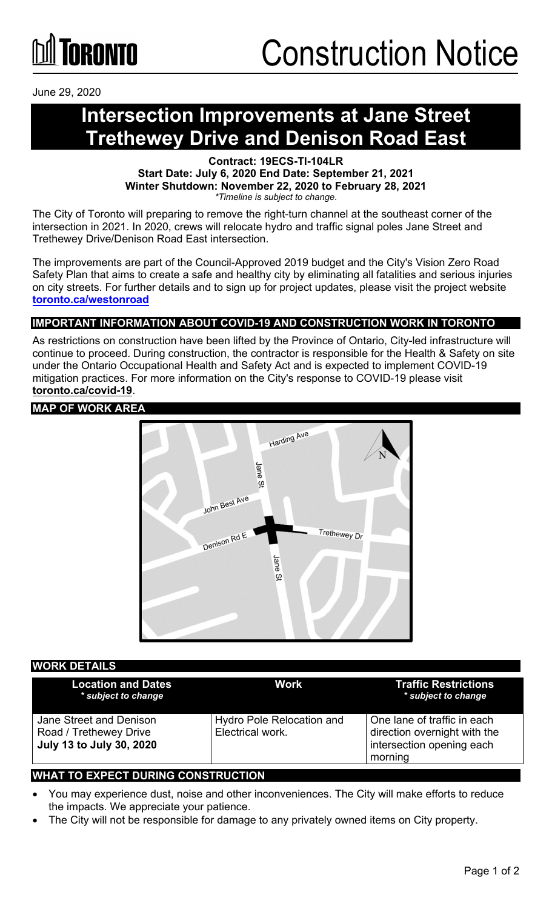

June 29, 2020

### **Intersection Improvements at Jane Street Trethewey Drive and Denison Road East**

**Contract: 19ECS-TI-104LR Start Date: July 6, 2020 End Date: September 21, 2021 Winter Shutdown: November 22, 2020 to February 28, 2021** *\*Timeline is subject to change.*

The City of Toronto will preparing to remove the right-turn channel at the southeast corner of the intersection in 2021. In 2020, crews will relocate hydro and traffic signal poles Jane Street and Trethewey Drive/Denison Road East intersection.

The improvements are part of the Council-Approved 2019 budget and the City's Vision Zero Road Safety Plan that aims to create a safe and healthy city by eliminating all fatalities and serious injuries on city streets. For further details and to sign up for project updates, please visit the project website **[toronto.ca/westonroad](http://www.toronto.ca/westonroad)**

### **IMPORTANT INFORMATION ABOUT COVID-19 AND CONSTRUCTION WORK IN TORONTO**

As restrictions on construction have been lifted by the Province of Ontario, City-led infrastructure will continue to proceed. During construction, the contractor is responsible for the Health & Safety on site under the Ontario Occupational Health and Safety Act and is expected to implement COVID-19 mitigation practices. For more information on the City's response to COVID-19 please visit **[toronto.ca/covid-19](http://www.toronto.ca/covid-19)**.

#### **MAP OF WORK AREA**



#### **WORK DETAILS**

| <b>Location and Dates</b><br>* subject to change                                     | <b>Work</b>                                          | <b>Traffic Restrictions</b><br>* subject to change                                                  |
|--------------------------------------------------------------------------------------|------------------------------------------------------|-----------------------------------------------------------------------------------------------------|
| Jane Street and Denison<br>Road / Trethewey Drive<br><b>July 13 to July 30, 2020</b> | <b>Hydro Pole Relocation and</b><br>Electrical work. | One lane of traffic in each<br>direction overnight with the<br>intersection opening each<br>morning |

#### **WHAT TO EXPECT DURING CONSTRUCTION**

- You may experience dust, noise and other inconveniences. The City will make efforts to reduce the impacts. We appreciate your patience.
- The City will not be responsible for damage to any privately owned items on City property.